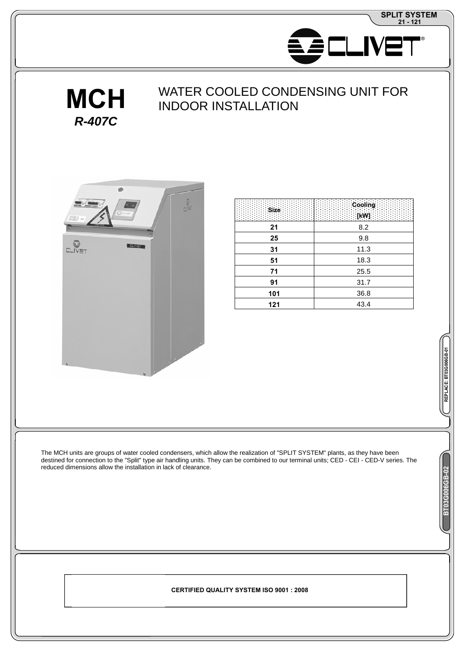

**REPLACE: BT03G006GB-01**

ACE: BT03G006GB-01

**BT03G006GB-02**



# WATER COOLED CONDENSING UNITFOR **INDOORINSTALLATION**





| Size | Cooling<br><b>TKV</b> |
|------|-----------------------|
| 21   | 8.2                   |
| 25   | 9.8                   |
| 31   | 11.3                  |
| 51   | 18.3                  |
| 71   | 25.5                  |
| 91   | 31.7                  |
| 101  | 36.8                  |
| 121  | 43.4                  |
|      |                       |

The MCH units are groups of water cooled condensers, which allow the realization of "SPLITSYSTEM" plants, as they have been destined for connection to the "Split" type air handling units. They can be combined to our terminal units; CED-CEI-CED-V series. The reduced dimensions allow the installation in lack of clearance.

 **CERTIFIED QUALITY CERTIFIED QUALITY SYSTEM ISO 9001 : 2008 SYSTEM ISO 9001 : 2008**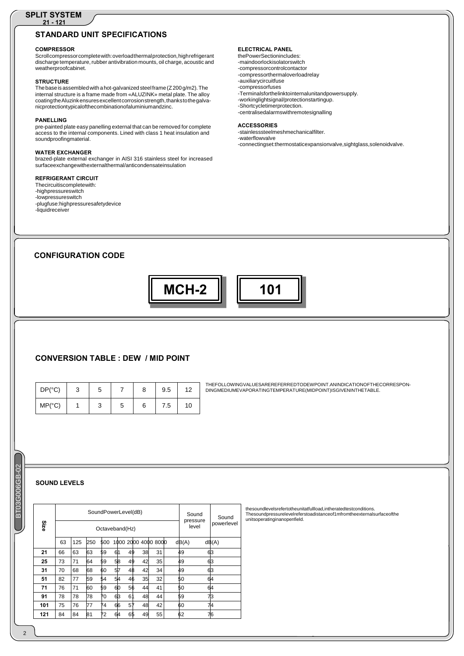#### **SPLIT SYSTEM 21 - 121**

# **STANDARD UNIT SPECIFICATIONS**

#### **COMPRESSOR**

Scroll compressor complete with: overload thermal protection, high refrigerant discharge temperature, rubber antivibration mounts, oil charge, acoustic and weather proof cabinet

### **STRUCTURE**

The base is assembled with a hot-galvanized steel frame (Z 200 g/m2). The internal structure is a frame made from «ALUZINK» metal plate. The alloy coating the Aluzink ensures excellent corrosion strength, thanks to the galvanic protection typical of the combination of aluminium and zinc.

#### **PANELLING**

pre-painted plate easy panelling external that can be removed for complete access to the internal components. Lined with class 1 heat insulation and soundproofing material.

### **WATER EXCHANGER**

brazed-plate external exchanger in AISI 316 stainless steel for increased surface exchange with external thermal/anticondensate insulation

#### **REFRIGERANT CIRCUIT**

- The circuit is complete with:
- high pressure switch
- low pressure switch
- plug fuse: high pressure safety device
- liquid receiver

#### **ELECTRICAL PANEL**

the Power Section includes:

- main door lock isolator switch
- compressor control contactor
- compressor thermal overload relay
- auxiliary circuit fuse
- compressor fuses
- Terminals for the link to internal unit and power supply.
- working light signal / protection starting up.
- Short cycle timer protection. - centralised alarms with remote signalling
- 

#### **ACCESSORIES** -stainless steel mesh mechanical filter.

- water flow valve
- connecting set: thermostatic expansion valve, sight glass, solenoid valve.

## **CONFIGURATION CODE**

**MCH-2 101**

## **CONVERSION TABLE : DEW/ MID POINT**

| DP (°C) | ت | 5 |   |   | 9.5 | 12 |
|---------|---|---|---|---|-----|----|
| MP (°C) |   | ◠ | 5 | 6 | 7.5 | 10 |

THE FOLLOWING VALUES ARE REFERRED TO DEW POINT. AN INDICATION OF THE CORRESPON-DING MEDIUM EVAPORATING TEMPERATURE (MID POINT) IS GIVEN IN THE TABLE.

## **SOUND LEVELS**

| Size |    |     |     |     | Sound Power Level (dB)<br>Octave band (Hz) |      |      |      | Sound<br>pressure<br>level | Sound<br>power level |
|------|----|-----|-----|-----|--------------------------------------------|------|------|------|----------------------------|----------------------|
|      | 63 | 125 | 250 | 500 | 1000                                       | 2000 | 4000 | 8000 | dB(A)                      | dB(A)                |
| 21   | 66 | 63  | 63  | 59  | 61                                         | 49   | 38   | 31   | 49                         | 63                   |
| 25   | 73 | 71  | 64  | 59  | 58                                         | 49   | 42   | 35   | 49                         | 63                   |
| 31   | 70 | 68  | 68  | 60  | 57                                         | 48   | 42   | 34   | 49                         | 63                   |
| 51   | 82 | 77  | 59  | 54  | 54                                         | 46   | 35   | 32   | 50                         | 64                   |
| 71   | 76 | 71  | 60  | 59  | 60                                         | 56   | 44   | 41   | 50                         | 64                   |
| 91   | 78 | 78  | 78  | 70  | 63                                         | 61   | 48   | 44   | 59                         | 73                   |
| 101  | 75 | 76  | 77  | 74  | 66                                         | 57   | 48   | 42   | 60                         | 74                   |
| 121  | 84 | 84  | 81  | 72  | 64                                         | 65   | 49   | 55   | 62                         | 76                   |

the sound levels refer to the unit at full load, in the rated test conditions.<br>The sound pressure level refers to a distance of 1m from the external surface of the units operating in an open field.

BT03G006GB-02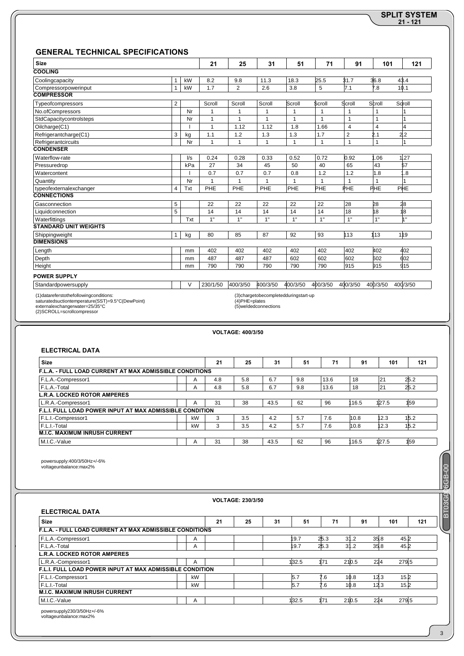# **21 - 121 SPLIT SYSTEM**

# **GENERAL TECHNICAL SPECIFICATIONS**

| <b>Size</b>                                           |                |                         | 21       | 25             | 31       | 51                                            | 71       | 91                      | 101            | 121      |
|-------------------------------------------------------|----------------|-------------------------|----------|----------------|----------|-----------------------------------------------|----------|-------------------------|----------------|----------|
| <b>COOLING</b>                                        |                |                         |          |                |          |                                               |          |                         |                |          |
| Cooling capacity                                      | $\mathbf{1}$   | kW                      | 8.2      | 9.8            | 11.3     | 18.3                                          | 25.5     | 31.7                    | 36.8           | 43.4     |
| Compressor power input                                | $\mathbf{1}$   | kW                      | 1.7      | $\overline{2}$ | 2.6      | 3.8                                           | 5        | 7.1                     | 7.8            | 10.1     |
| <b>COMPRESSOR</b>                                     |                |                         |          |                |          |                                               |          |                         |                |          |
| Type of compressors                                   | $\overline{2}$ |                         | Scroll   | Scroll         | Scroll   | Scroll                                        | Scroll   | Scroll                  | Scroll         | Scroll   |
| No. of Compressors                                    |                | Nr                      | 1        | $\overline{1}$ | 1        | 1                                             | 1        | 1                       | 1              | 1        |
| Std Capacity control steps                            |                | Nr                      | 1        | 1              | 1        |                                               | 1        | 1                       |                | 1        |
| Oil charge (C1)                                       |                |                         | 1        | 1.12           | 1.12     | 1.8                                           | 1.66     | 4                       | $\overline{4}$ | 4        |
| Refrigerant charge (C1)                               | 3              | kg                      | 1.1      | 1.2            | 1.3      | 1.3                                           | 1.7      | $\overline{\mathbf{c}}$ | 2.1            | 2.2      |
| Refrigerant circuits                                  |                | Nr                      | 1        | 1              | 1        | 1                                             | 1        | 1                       | $\overline{1}$ | 1        |
| <b>CONDENSER</b>                                      |                |                         |          |                |          |                                               |          |                         |                |          |
| Water flow-rate                                       |                | $\mathsf{I}/\mathsf{s}$ | 0.24     | 0.28           | 0.33     | 0.52                                          | 0.72     | 0.92                    | 1.06           | 1.27     |
| Pressure drop                                         |                | kPa                     | 27       | 34             | 45       | 50                                            | 40       | 65                      | 43             | 57       |
| Water content                                         |                |                         | 0.7      | 0.7            | 0.7      | 0.8                                           | 1.2      | 1.2                     | 1.8            | 1.8      |
| Quantity                                              |                | Nr                      | 1        | 1              | 1        |                                               | 1        | 1                       |                | 1        |
| type of external exchanger                            | $\overline{4}$ | Txt                     | PHE      | PHE            | PHE      | PHE                                           | PHE      | PHE                     | PHE            | PHE      |
| <b>CONNECTIONS</b>                                    |                |                         |          |                |          |                                               |          |                         |                |          |
| Gas connection                                        | 5              |                         | 22       | 22             | 22       | 22                                            | 22       | 28                      | 28             | 28       |
| Liquid connection                                     | 5              |                         | 14       | 14             | 14       | 14                                            | 14       | 18                      | 18             | 18       |
| Water fittings                                        |                | Txt                     | 1"       | 1"             | 1"       | 1"                                            | 1"       | 1"                      | 1"             | 1"       |
| <b>STANDARD UNIT WEIGHTS</b>                          |                |                         |          |                |          |                                               |          |                         |                |          |
| Shipping weight                                       | $\mathbf{1}$   | kg                      | 80       | 85             | 87       | 92                                            | 93       | 113                     | 113            | 119      |
| <b>DIMENSIONS</b>                                     |                |                         |          |                |          |                                               |          |                         |                |          |
| Length                                                |                | mm                      | 402      | 402            | 402      | 402                                           | 402      | 402                     | 402            | 402      |
| Depth                                                 |                | mm                      | 487      | 487            | 487      | 602                                           | 602      | 602                     | 602            | 602      |
| Height                                                |                | mm                      | 790      | 790            | 790      | 790                                           | 790      | 915                     | 915            | 915      |
| <b>POWER SUPPLY</b>                                   |                |                         |          |                |          |                                               |          |                         |                |          |
| Standard power supply                                 |                | $\vee$                  | 230/1/50 | 400/3/50       | 400/3/50 | 400/3/50                                      | 400/3/50 | 400/3/50                | 400/3/50       | 400/3/50 |
| $(1)$ data refers to the following conditions $\cdot$ |                |                         |          |                |          | $(2)$ charge to be completed during start-up. |          |                         |                |          |

(1) data refers to the following conditions :<br>saturated suction temperature (SST) = 9.5 °C (Dew Point)<br>external exchanger water = 25/35°C<br>(2) SCROLL = scroll compressor

(3) charge to be completed during start-up<br>(4) PHE = plates<br>(5) welded connections

|                                                                 |    |     | <b>VOLTAGE: 400/3/50</b> |      |     |      |       |       |      |
|-----------------------------------------------------------------|----|-----|--------------------------|------|-----|------|-------|-------|------|
| <b>ELECTRICAL DATA</b>                                          |    |     |                          |      |     |      |       |       |      |
| <b>Size</b>                                                     |    | 21  | 25                       | 31   | 51  | 71   | 91    | 101   | 121  |
| <b>F.L.A. - FULL LOAD CURRENT AT MAX ADMISSIBLE CONDITIONS</b>  |    |     |                          |      |     |      |       |       |      |
| F.L.A. - Compressor 1                                           | A  | 4.8 | 5.8                      | 6.7  | 9.8 | 13.6 | 18    | 21    | 25.2 |
| F.L.A. - Total                                                  | A  | 4.8 | 5.8                      | 6.7  | 9.8 | 13.6 | 18    | 21    | 25.2 |
| <b>L.R.A. LOCKED ROTOR AMPERES</b>                              |    |     |                          |      |     |      |       |       |      |
| L.R.A. - Compressor 1                                           | A  | 31  | 38                       | 43.5 | 62  | 96   | 116.5 | 127.5 | 159  |
| <b>F.L.I. FULL LOAD POWER INPUT AT MAX ADMISSIBLE CONDITION</b> |    |     |                          |      |     |      |       |       |      |
| F.L.I. - Compressor 1                                           | kW | 3   | 3.5                      | 4.2  | 5.7 | 7.6  | 10.8  | 12.3  | 15.2 |
| F.L.I. - Total                                                  | kW | 3   | 3.5                      | 4.2  | 5.7 | 7.6  | 10.8  | 12.3  | 15.2 |
| <b>M.I.C. MAXIMUM INRUSH CURRENT</b>                            |    |     |                          |      |     |      |       |       |      |
| M.I.C. - Value                                                  | A  | 31  | 38                       | 43.5 | 62  | 96   | 116.5 | 127.5 | 159  |

power supply: 400/3/50 Hz +/-6%<br>voltage unbalance: max 2 %

|                                                                 |    |    | <b>VOLTAGE: 230/3/50</b> |    |       |      |       |      |       |
|-----------------------------------------------------------------|----|----|--------------------------|----|-------|------|-------|------|-------|
| <b>ELECTRICAL DATA</b><br><b>Size</b>                           |    | 21 | 25                       | 31 | 51    | 71   | 91    | 101  | 121   |
| <b>F.L.A. - FULL LOAD CURRENT AT MAX ADMISSIBLE CONDITIONS</b>  |    |    |                          |    |       |      |       |      |       |
| F.L.A. - Compressor 1                                           | Α  |    |                          |    | 19.7  | 25.3 | 31.2  | 35.8 | 45.2  |
| F.L.A. - Total                                                  | A  |    |                          |    | 19.7  | 25.3 | 31.2  | 35.8 | 45.2  |
| <b>L.R.A. LOCKED ROTOR AMPERES</b>                              |    |    |                          |    |       |      |       |      |       |
| L.R.A. - Compressor 1                                           | A  |    |                          |    | 132.5 | 171  | 210.5 | 224  | 279.5 |
| <b>F.L.I. FULL LOAD POWER INPUT AT MAX ADMISSIBLE CONDITION</b> |    |    |                          |    |       |      |       |      |       |
| F.L.I. - Compressor 1                                           | kW |    |                          |    | 5.7   | 7.6  | 10.8  | 12.3 | 15.2  |
| F.L.I. - Total                                                  | kW |    |                          |    | 5.7   | 7.6  | 10.8  | 12.3 | 15.2  |

power supply 230/3/50 Hz +/-6%<br>voltage unbalance: max 2 %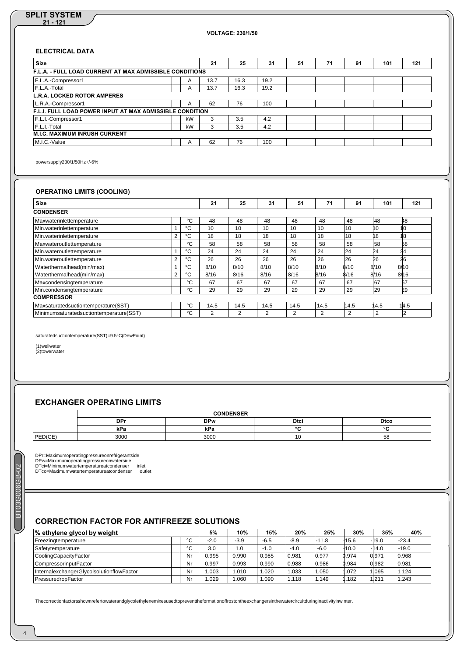### **SPLIT SYSTEM 21 - 121**

**VOLTAGE: 230/1/50**

## **ELECTRICAL DATA**

| <b>Size</b>                                                     |                | 21   | 25   | 31   | 51 | 71 | 91 | 101 | 121 |
|-----------------------------------------------------------------|----------------|------|------|------|----|----|----|-----|-----|
| F.L.A. - FULL LOAD CURRENT AT MAX ADMISSIBLE CONDITIONS         |                |      |      |      |    |    |    |     |     |
| F.L.A. - Compressor 1                                           | $\overline{A}$ | 13.7 | 16.3 | 19.2 |    |    |    |     |     |
| F.L.A. - Total                                                  | A              | 13.7 | 16.3 | 19.2 |    |    |    |     |     |
| L.R.A. LOCKED ROTOR AMPERES                                     |                |      |      |      |    |    |    |     |     |
| L.R.A. - Compressor 1                                           | A              | 62   | 76   | 100  |    |    |    |     |     |
| <b>F.L.I. FULL LOAD POWER INPUT AT MAX ADMISSIBLE CONDITION</b> |                |      |      |      |    |    |    |     |     |
| F.L.I. - Compressor 1                                           | kW             | 3    | 3.5  | 4.2  |    |    |    |     |     |
| F.L.I. - Total                                                  | kW             | 3    | 3.5  | 4.2  |    |    |    |     |     |
| <b>M.I.C. MAXIMUM INRUSH CURRENT</b>                            |                |      |      |      |    |    |    |     |     |
| M.I.C. - Value                                                  | A              | 62   | 76   | 100  |    |    |    |     |     |

power supply 230/1/50 Hz +/-6%

## **OPERATING LIMITS (COOLING)**

| <b>Size</b>                                 |   |    | 21   | 25   | 31   | 51   | 71   | 91   | 101  | 121             |
|---------------------------------------------|---|----|------|------|------|------|------|------|------|-----------------|
| <b>CONDENSER</b>                            |   |    |      |      |      |      |      |      |      |                 |
| Max water inlet temperature                 |   | °C | 48   | 48   | 48   | 48   | 48   | 48   | 48   | 48              |
| Min. water inlet temperature                |   | °C | 10   | 10   | 10   | 10   | 10   | 10   | 10   | 10 <sup>1</sup> |
| Min. water inlet temperature                | 2 | °C | 18   | 18   | 18   | 18   | 18   | 18   | 18   | 18              |
| Max water outlet temperature                |   | °C | 58   | 58   | 58   | 58   | 58   | 58   | 58   | 58              |
| Min. water outlet temperature               |   | °C | 24   | 24   | 24   | 24   | 24   | 24   | 24   | 24              |
| Min. water outlet temperature               | າ | °C | 26   | 26   | 26   | 26   | 26   | 26   | 26   | 26              |
| Water thermal head (min / max)              |   | °C | 8/10 | 8/10 | 8/10 | 8/10 | 8/10 | 8/10 | 8/10 | 8/10            |
| Water thermal head (min / max)              | 2 | °C | 8/16 | 8/16 | 8/16 | 8/16 | 8/16 | 8/16 | 8/16 | 8/16            |
| Max condensing temperature                  |   | °C | 67   | 67   | 67   | 67   | 67   | 67   | 67   | 67              |
| Min. condensing temperature                 |   | °C | 29   | 29   | 29   | 29   | 29   | 29   | 29   | 29              |
| <b>COMPRESSOR</b>                           |   |    |      |      |      |      |      |      |      |                 |
| Max saturated suction temperature (SST)     |   | °C | 14.5 | 14.5 | 14.5 | 14.5 | 14.5 | 14.5 | 14.5 | 14.5            |
| Minimum saturated suction temperature (SST) |   | °C | 2    | 2    | 2    | 2    | 2    | 2    | 2    | 2               |

saturated suction temperature (SST) =  $9.5 °C$  (Dew Point)

(1) well water<br>(2) tower water

# **EXCHANGER OPERATING LIMITS**

|                        |            | <b>CONDENSER</b> |             |             |
|------------------------|------------|------------------|-------------|-------------|
|                        | <b>DPr</b> | <b>DPw</b>       | <b>Dtci</b> | <b>Dtco</b> |
|                        | kPa        | kPa              | $\sim$      | $\sim$      |
| PED (CE)<br><b>DEN</b> | 3000       | 3000             | u           | 58          |

DPr = Maximum operating pressure on refrigerant side<br>DPw = Maximum operating pressure on water side<br>DTci = Minimum water temperature at condenser inlet<br>DTco = Maximum water temperature at condenser outlet

## **CORRECTION FACTOR FOR ANTIFREEZE SOLUTIONS**

| % ethylene glycol by weight                    |        | 5%     | 10%    | 15%    | 20%    | 25%     | 30%     | 35%     | 40%     |
|------------------------------------------------|--------|--------|--------|--------|--------|---------|---------|---------|---------|
| Freezing temperature                           | $\sim$ | $-2.0$ | $-3.9$ | $-6.5$ | $-8.9$ | $-11.8$ | $-15.6$ | $-19.0$ | $-23.4$ |
| Safety temperature                             | $\sim$ | 3.0    | 1.0    | $-1.0$ | $-4.0$ | $-6.0$  | $-10.0$ | $-14.0$ | $-19.0$ |
| Cooling Capacity Factor                        | Nr     | 0.995  | 0.990  | 0.985  | 0.981  | 0.977   | 0.974   | 0.971   | 0.968   |
| Compressor input Factor                        | Nr     | 0.997  | 0.993  | 0.990  | 0.988  | 0.986   | 0.984   | 0.982   | 0.981   |
| Internal exchanger Glycol solution flow Factor | Nr     | .003   | 1.010  | 1.020  | 1.033  | .050    | .072    | 1.095   | 1.124   |
| Pressure drop Factor                           | Nr     | .029   | 060.   | 1.090  | 1.118  | 1.149   | .182    | 1.211   | 1.243   |

The correction factors shown refer to water and glycol ethylene mixes used to prevent the formation of frost on the exchangers in the water circuit during inactivity in winter.

**3G006GB-02** BT03G006GB-02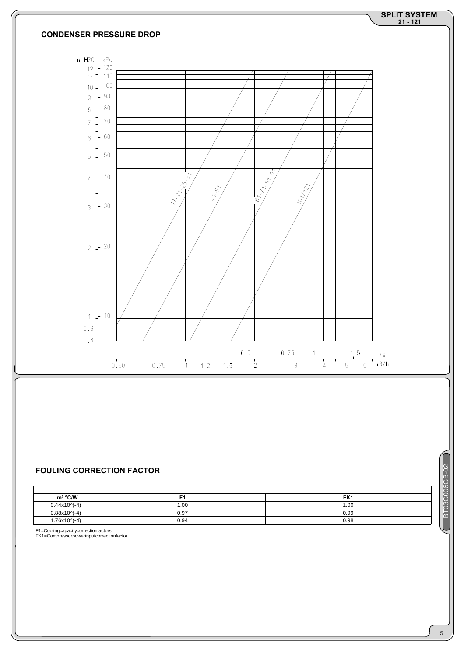

## **FOULING CORRECTION FACTOR**

| <b>FOULING CORRECTION FACTOR</b> |       |                 | 06GB-02        |
|----------------------------------|-------|-----------------|----------------|
| $m^2$ °C/W                       | Е۹    | FK <sub>1</sub> | <b>IC</b><br>R |
| $0.44 \times 10\sqrt{-4}$        | 0.001 | 1.00            |                |
| $0.88 \times 10^{-4}$            | 0.97  | 0.99            | m              |
| $1.76 \times 10^{-4}$            | 0.94  | 0.98            |                |

F1 = Cooling capacity correction factors<br>FK1 = Compressor power input correction factor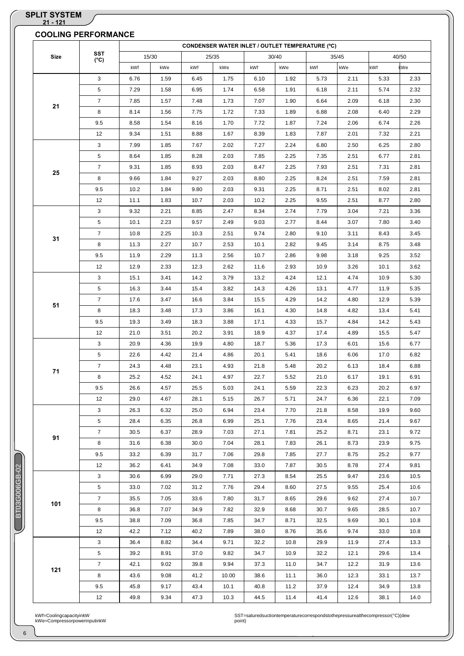|      | <b>SST</b>     |              |              |              |               |              |              | <b>CONDENSER WATER INLET / OUTLET TEMPERATURE (°C)</b> |              |              |              |
|------|----------------|--------------|--------------|--------------|---------------|--------------|--------------|--------------------------------------------------------|--------------|--------------|--------------|
| Size | $(^{\circ}C)$  |              | 15/30        |              | 25/35         |              | 30/40        |                                                        | 35/45        |              | 40/50        |
|      |                | kWf          | kWe          | kWf          | kWe           | kWf          | kWe          | kWf                                                    | kWe          | kWf          | kWe          |
|      | 3              | 6.76         | 1.59         | 6.45         | 1.75          | 6.10         | 1.92         | 5.73                                                   | 2.11         | 5.33         | 2.33         |
|      | 5              | 7.29         | 1.58         | 6.95         | 1.74          | 6.58         | 1.91         | 6.18                                                   | 2.11         | 5.74         | 2.32         |
| 21   | $\overline{7}$ | 7.85         | 1.57         | 7.48         | 1.73          | 7.07         | 1.90         | 6.64                                                   | 2.09         | 6.18         | 2.30         |
|      | 8              | 8.14         | 1.56         | 7.75         | 1.72          | 7.33         | 1.89         | 6.88                                                   | 2.08         | 6.40         | 2.29         |
|      | 9.5            | 8.58         | 1.54         | 8.16         | 1.70          | 7.72         | 1.87         | 7.24                                                   | 2.06         | 6.74         | 2.26         |
|      | 12             | 9.34         | 1.51         | 8.88         | 1.67          | 8.39         | 1.83         | 7.87                                                   | 2.01         | 7.32         | 2.21         |
|      | 3              | 7.99         | 1.85         | 7.67         | 2.02          | 7.27         | 2.24         | 6.80                                                   | 2.50         | 6.25         | 2.80         |
|      | 5              | 8.64         | 1.85         | 8.28         | 2.03          | 7.85         | 2.25         | 7.35                                                   | 2.51         | 6.77         | 2.81         |
|      | $\overline{7}$ | 9.31         | 1.85         | 8.93         | 2.03          | 8.47         | 2.25         | 7.93                                                   | 2.51         | 7.31         | 2.81         |
| 25   | 8              | 9.66         | 1.84         | 9.27         | 2.03          | 8.80         | 2.25         | 8.24                                                   | 2.51         | 7.59         | 2.81         |
|      | 9.5            | 10.2         | 1.84         | 9.80         | 2.03          | 9.31         | 2.25         | 8.71                                                   | 2.51         | 8.02         | 2.81         |
|      | 12             | 11.1         | 1.83         | 10.7         | 2.03          | 10.2         | 2.25         | 9.55                                                   | 2.51         | 8.77         | 2.80         |
|      | 3              | 9.32         | 2.21         | 8.85         | 2.47          | 8.34         | 2.74         | 7.79                                                   | 3.04         | 7.21         | 3.36         |
|      | 5              | 10.1         | 2.23         | 9.57         | 2.49          | 9.03         | 2.77         | 8.44                                                   | 3.07         | 7.80         | 3.40         |
|      | $\overline{7}$ | 10.8         | 2.25         | 10.3         | 2.51          | 9.74         | 2.80         | 9.10                                                   | 3.11         | 8.43         | 3.45         |
| 31   | 8              | 11.3         | 2.27         | 10.7         | 2.53          | 10.1         | 2.82         | 9.45                                                   | 3.14         | 8.75         | 3.48         |
|      | 9.5            | 11.9         | 2.29         | 11.3         | 2.56          | 10.7         | 2.86         | 9.98                                                   | 3.18         | 9.25         | 3.52         |
|      | 12             | 12.9         | 2.33         | 12.3         | 2.62          | 11.6         | 2.93         | 10.9                                                   | 3.26         | 10.1         | 3.62         |
|      |                |              |              |              |               |              |              |                                                        |              |              |              |
|      | 3              | 15.1         | 3.41         | 14.2         | 3.79          | 13.2         | 4.24         | 12.1                                                   | 4.74         | 10.9         | 5.30         |
|      | 5              | 16.3         | 3.44         | 15.4         | 3.82          | 14.3         | 4.26         | 13.1                                                   | 4.77         | 11.9         | 5.35         |
| 51   | $\overline{7}$ | 17.6         | 3.47         | 16.6         | 3.84          | 15.5         | 4.29         | 14.2                                                   | 4.80         | 12.9         | 5.39         |
|      | 8              | 18.3         | 3.48         | 17.3         | 3.86          | 16.1         | 4.30         | 14.8                                                   | 4.82         | 13.4         | 5.41         |
|      | 9.5            | 19.3         | 3.49         | 18.3         | 3.88          | 17.1         | 4.33         | 15.7                                                   | 4.84         | 14.2         | 5.43         |
|      | 12             | 21.0         | 3.51         | 20.2         | 3.91          | 18.9         | 4.37         | 17.4                                                   | 4.89         | 15.5         | 5.47         |
|      | 3              | 20.9         | 4.36         | 19.9         | 4.80          | 18.7         | 5.36         | 17.3                                                   | 6.01         | 15.6         | 6.77         |
|      | 5              | 22.6         | 4.42         | 21.4         | 4.86          | 20.1         | 5.41         | 18.6                                                   | 6.06         | 17.0         | 6.82         |
| 71   | $\overline{7}$ | 24.3         | 4.48         | 23.1         | 4.93          | 21.8         | 5.48         | 20.2                                                   | 6.13         | 18.4         | 6.88         |
|      | 8              | 25.2         | 4.52         | 24.1         | 4.97          | 22.7         | 5.52         | 21.0                                                   | 6.17         | 19.1         | 6.91         |
|      | 9.5            | 26.6         | 4.57         | 25.5         | 5.03          | 24.1         | 5.59         | 22.3                                                   | 6.23         | 20.2         | 6.97         |
|      | 12             | 29.0         | 4.67         | 28.1         | 5.15          | 26.7         | 5.71         | 24.7                                                   | 6.36         | 22.1         | 7.09         |
|      | 3              | 26.3         | 6.32         | 25.0         | 6.94          | 23.4         | 7.70         | 21.8                                                   | 8.58         | 19.9         | 9.60         |
|      | 5              | 28.4         | 6.35         | 26.8         | 6.99          | 25.1         | 7.76         | 23.4                                                   | 8.65         | 21.4         | 9.67         |
|      | $\overline{7}$ | 30.5         | 6.37         | 28.9         | 7.03          | 27.1         | 7.81         | 25.2                                                   | 8.71         | 23.1         | 9.72         |
| 91   | 8              | 31.6         | 6.38         | 30.0         | 7.04          | 28.1         | 7.83         | 26.1                                                   | 8.73         | 23.9         | 9.75         |
|      | 9.5            | 33.2         | 6.39         | 31.7         | 7.06          | 29.8         | 7.85         | 27.7                                                   | 8.75         | 25.2         | 9.77         |
|      | 12             | 36.2         | 6.41         | 34.9         | 7.08          | 33.0         | 7.87         | 30.5                                                   | 8.78         | 27.4         | 9.81         |
|      | 3              | 30.6         | 6.99         | 29.0         | 7.71          | 27.3         | 8.54         | 25.5                                                   | 9.47         | 23.6         | 10.5         |
|      | 5              | 33.0         | 7.02         | 31.2         | 7.76          | 29.4         | 8.60         | 27.5                                                   | 9.55         | 25.4         | 10.6         |
|      | $\overline{7}$ | 35.5         | 7.05         | 33.6         | 7.80          | 31.7         | 8.65         | 29.6                                                   | 9.62         | 27.4         | 10.7         |
| 101  | 8              | 36.8         | 7.07         | 34.9         | 7.82          | 32.9         | 8.68         | 30.7                                                   | 9.65         | 28.5         | 10.7         |
|      | 9.5            | 38.8         | 7.09         | 36.8         | 7.85          | 34.7         | 8.71         | 32.5                                                   | 9.69         | 30.1         | 10.8         |
|      |                |              |              |              |               |              |              |                                                        |              |              |              |
|      | 12             | 42.2         | 7.12         | 40.2         | 7.89          | 38.0         | 8.76         | 35.6                                                   | 9.74         | 33.0         | 10.8         |
|      | 3              | 36.4         | 8.82         | 34.4         | 9.71          | 32.2         | 10.8         | 29.9                                                   | 11.9         | 27.4         | 13.3         |
|      | 5              | 39.2         | 8.91         | 37.0         | 9.82          | 34.7         | 10.9         | 32.2                                                   | 12.1         | 29.6         | 13.4         |
| 121  | $\overline{7}$ | 42.1         | 9.02         | 39.8         | 9.94          | 37.3         | 11.0         | 34.7                                                   | 12.2         | 31.9         | 13.6         |
|      |                |              |              |              |               |              |              |                                                        |              |              |              |
|      | 8<br>9.5       | 43.6<br>45.8 | 9.08<br>9.17 | 41.2<br>43.4 | 10.00<br>10.1 | 38.6<br>40.8 | 11.1<br>11.2 | 36.0<br>37.9                                           | 12.3<br>12.4 | 33.1<br>34.9 | 13.7<br>13.8 |

kWf = Cooling capacity in kW<br>kWe = Compressor power input in kW

**CONTROL** 

SST = satured suction temperature corresponds to the pressure at the compressor (°C) (dew<br>point)